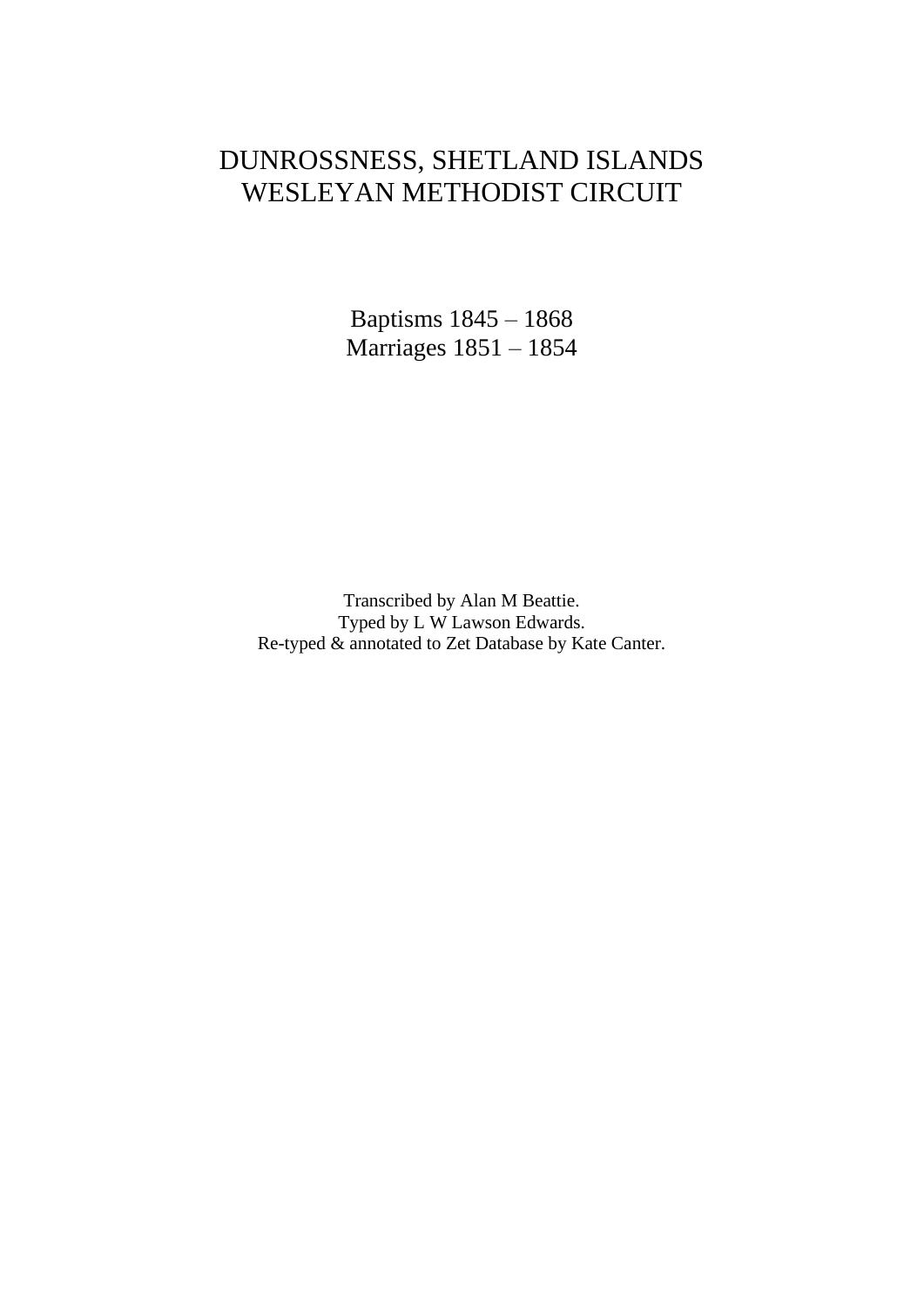## DUNROSSNESS, SHETLAND ISLANDS WESLEYAN METHODIST CIRCUIT

Baptisms 1845 – 1868 Marriages 1851 – 1854

Transcribed by Alan M Beattie. Typed by L W Lawson Edwards. Re-typed & annotated to Zet Database by Kate Canter.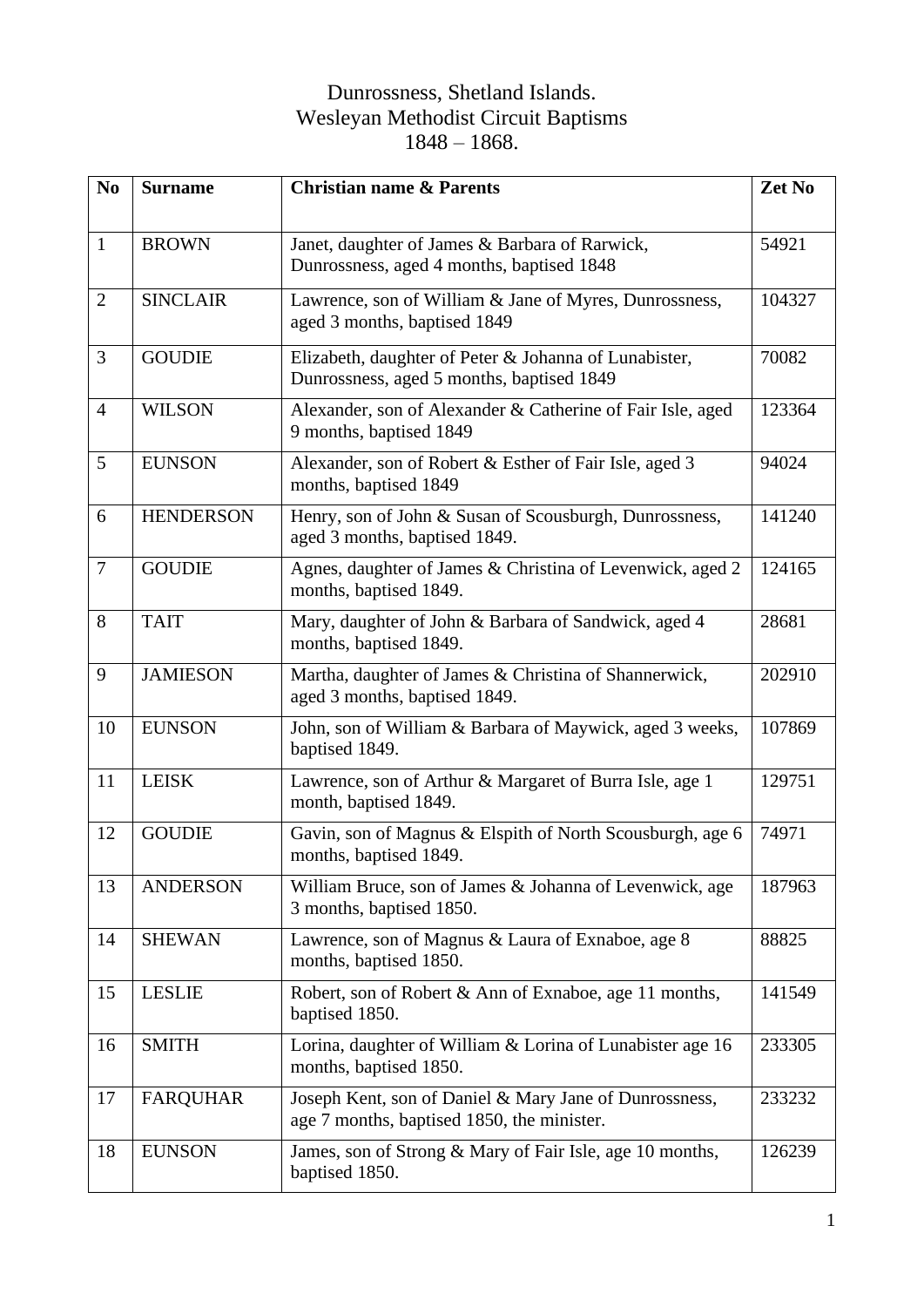## Dunrossness, Shetland Islands. Wesleyan Methodist Circuit Baptisms 1848 – 1868.

| N <sub>0</sub> | <b>Surname</b>   | <b>Christian name &amp; Parents</b>                                                                  |        |
|----------------|------------------|------------------------------------------------------------------------------------------------------|--------|
| $\mathbf{1}$   | <b>BROWN</b>     | Janet, daughter of James & Barbara of Rarwick,<br>Dunrossness, aged 4 months, baptised 1848          | 54921  |
| $\overline{2}$ | <b>SINCLAIR</b>  | Lawrence, son of William & Jane of Myres, Dunrossness,<br>aged 3 months, baptised 1849               | 104327 |
| 3              | <b>GOUDIE</b>    | Elizabeth, daughter of Peter & Johanna of Lunabister,<br>Dunrossness, aged 5 months, baptised 1849   | 70082  |
| $\overline{4}$ | <b>WILSON</b>    | Alexander, son of Alexander & Catherine of Fair Isle, aged<br>9 months, baptised 1849                | 123364 |
| 5              | <b>EUNSON</b>    | Alexander, son of Robert & Esther of Fair Isle, aged 3<br>months, baptised 1849                      | 94024  |
| 6              | <b>HENDERSON</b> | Henry, son of John & Susan of Scousburgh, Dunrossness,<br>aged 3 months, baptised 1849.              | 141240 |
| $\tau$         | <b>GOUDIE</b>    | Agnes, daughter of James & Christina of Levenwick, aged 2<br>months, baptised 1849.                  | 124165 |
| 8              | <b>TAIT</b>      | Mary, daughter of John & Barbara of Sandwick, aged 4<br>months, baptised 1849.                       | 28681  |
| 9              | <b>JAMIESON</b>  | Martha, daughter of James & Christina of Shannerwick,<br>aged 3 months, baptised 1849.               | 202910 |
| 10             | <b>EUNSON</b>    | John, son of William & Barbara of Maywick, aged 3 weeks,<br>baptised 1849.                           | 107869 |
| 11             | <b>LEISK</b>     | Lawrence, son of Arthur & Margaret of Burra Isle, age 1<br>month, baptised 1849.                     |        |
| 12             | <b>GOUDIE</b>    | Gavin, son of Magnus & Elspith of North Scousburgh, age 6<br>months, baptised 1849.                  |        |
| 13             | <b>ANDERSON</b>  | William Bruce, son of James & Johanna of Levenwick, age<br>3 months, baptised 1850.                  |        |
| 14             | <b>SHEWAN</b>    | Lawrence, son of Magnus & Laura of Exnaboe, age 8<br>months, baptised 1850.                          |        |
| 15             | <b>LESLIE</b>    | Robert, son of Robert & Ann of Exnaboe, age 11 months,<br>baptised 1850.                             |        |
| 16             | <b>SMITH</b>     | Lorina, daughter of William & Lorina of Lunabister age 16<br>months, baptised 1850.                  |        |
| 17             | <b>FARQUHAR</b>  | Joseph Kent, son of Daniel & Mary Jane of Dunrossness,<br>age 7 months, baptised 1850, the minister. |        |
| 18             | <b>EUNSON</b>    | James, son of Strong & Mary of Fair Isle, age 10 months,<br>baptised 1850.                           |        |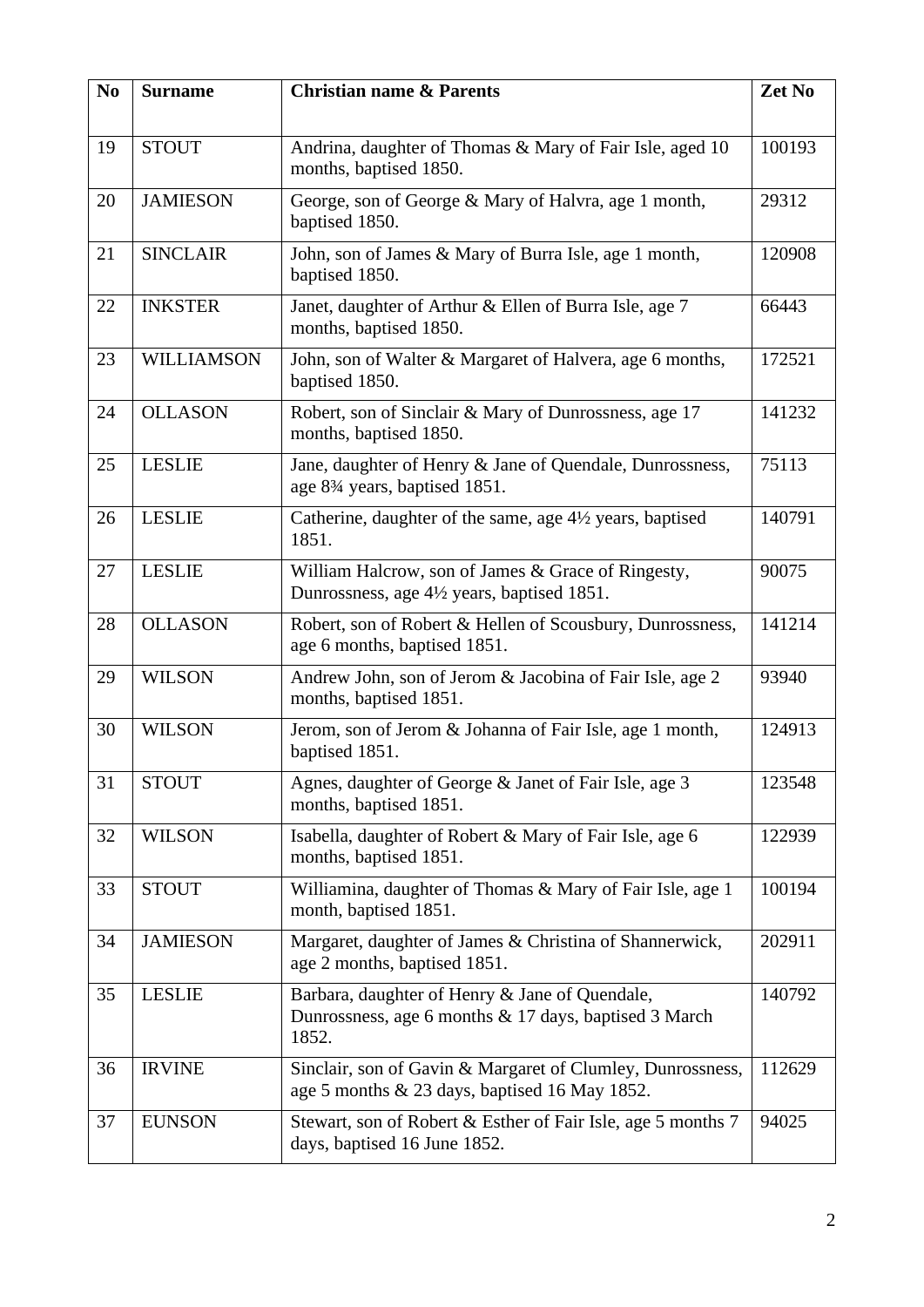| N <sub>0</sub> | <b>Surname</b>  | <b>Christian name &amp; Parents</b>                                                                                 |        |
|----------------|-----------------|---------------------------------------------------------------------------------------------------------------------|--------|
| 19             | <b>STOUT</b>    | Andrina, daughter of Thomas & Mary of Fair Isle, aged 10<br>months, baptised 1850.                                  | 100193 |
| 20             | <b>JAMIESON</b> | George, son of George & Mary of Halvra, age 1 month,<br>baptised 1850.                                              |        |
| 21             | <b>SINCLAIR</b> | John, son of James & Mary of Burra Isle, age 1 month,<br>baptised 1850.                                             | 120908 |
| 22             | <b>INKSTER</b>  | Janet, daughter of Arthur & Ellen of Burra Isle, age 7<br>months, baptised 1850.                                    | 66443  |
| 23             | WILLIAMSON      | John, son of Walter & Margaret of Halvera, age 6 months,<br>baptised 1850.                                          | 172521 |
| 24             | <b>OLLASON</b>  | Robert, son of Sinclair & Mary of Dunrossness, age 17<br>months, baptised 1850.                                     | 141232 |
| 25             | <b>LESLIE</b>   | Jane, daughter of Henry & Jane of Quendale, Dunrossness,<br>age 8 <sup>3</sup> / <sub>4</sub> years, baptised 1851. | 75113  |
| 26             | <b>LESLIE</b>   | Catherine, daughter of the same, age 4½ years, baptised<br>1851.                                                    | 140791 |
| 27             | <b>LESLIE</b>   | William Halcrow, son of James & Grace of Ringesty,<br>Dunrossness, age 4½ years, baptised 1851.                     | 90075  |
| 28             | <b>OLLASON</b>  | Robert, son of Robert & Hellen of Scousbury, Dunrossness,<br>age 6 months, baptised 1851.                           | 141214 |
| 29             | <b>WILSON</b>   | Andrew John, son of Jerom & Jacobina of Fair Isle, age 2<br>months, baptised 1851.                                  | 93940  |
| 30             | <b>WILSON</b>   | Jerom, son of Jerom & Johanna of Fair Isle, age 1 month,<br>baptised 1851.                                          |        |
| 31             | <b>STOUT</b>    | Agnes, daughter of George & Janet of Fair Isle, age 3<br>months, baptised 1851.                                     |        |
| 32             | <b>WILSON</b>   | Isabella, daughter of Robert & Mary of Fair Isle, age 6<br>months, baptised 1851.                                   |        |
| 33             | <b>STOUT</b>    | Williamina, daughter of Thomas & Mary of Fair Isle, age 1<br>month, baptised 1851.                                  |        |
| 34             | <b>JAMIESON</b> | Margaret, daughter of James & Christina of Shannerwick,<br>age 2 months, baptised 1851.                             |        |
| 35             | <b>LESLIE</b>   | Barbara, daughter of Henry & Jane of Quendale,<br>Dunrossness, age 6 months & 17 days, baptised 3 March<br>1852.    |        |
| 36             | <b>IRVINE</b>   | Sinclair, son of Gavin & Margaret of Clumley, Dunrossness,<br>age 5 months & 23 days, baptised 16 May 1852.         |        |
| 37             | <b>EUNSON</b>   | Stewart, son of Robert & Esther of Fair Isle, age 5 months 7<br>days, baptised 16 June 1852.                        | 94025  |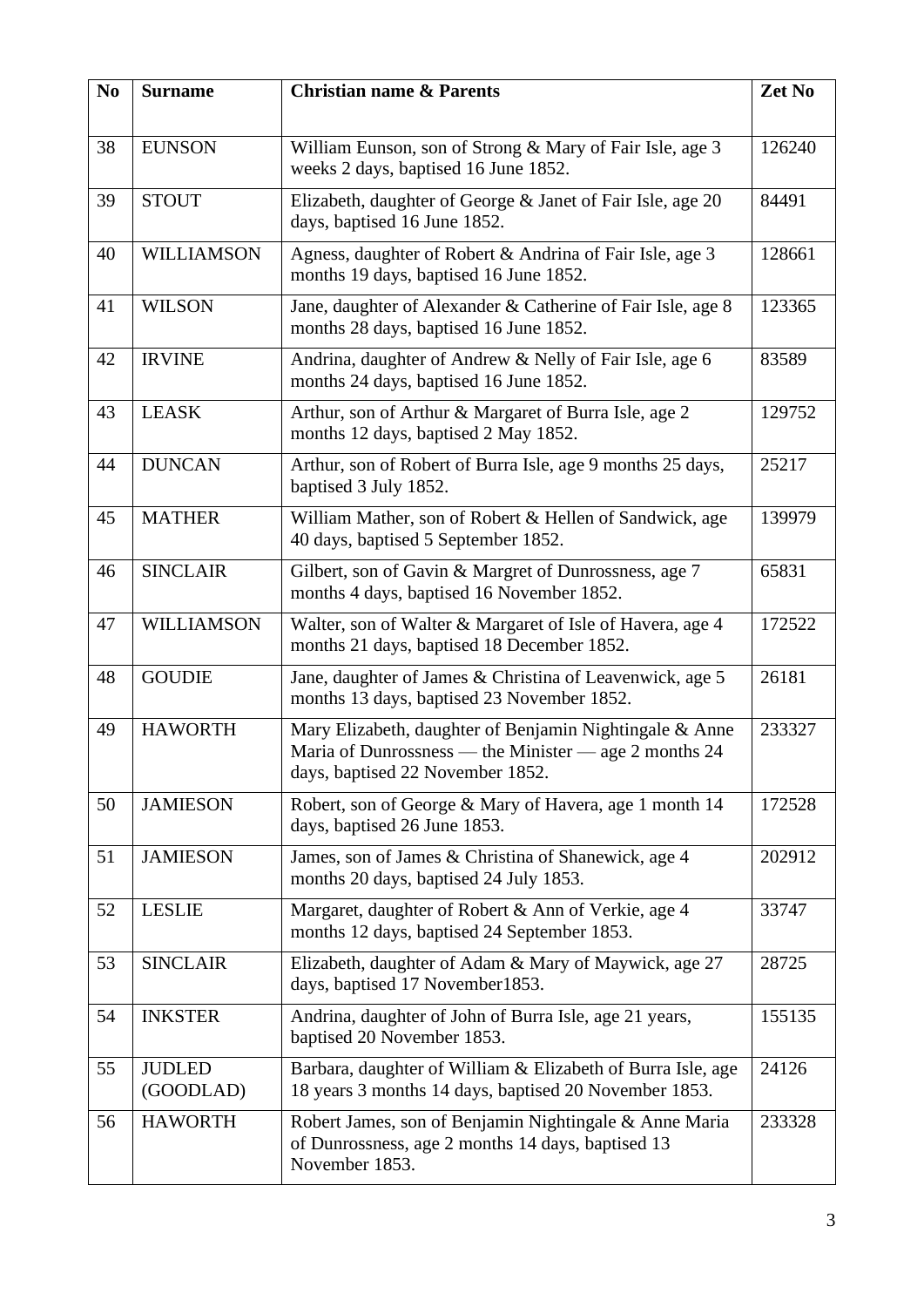| N <sub>0</sub> | <b>Surname</b>             | <b>Christian name &amp; Parents</b>                                                                                                                  |        |
|----------------|----------------------------|------------------------------------------------------------------------------------------------------------------------------------------------------|--------|
| 38             | <b>EUNSON</b>              | William Eunson, son of Strong & Mary of Fair Isle, age 3<br>weeks 2 days, baptised 16 June 1852.                                                     |        |
| 39             | <b>STOUT</b>               | Elizabeth, daughter of George & Janet of Fair Isle, age 20<br>days, baptised 16 June 1852.                                                           | 84491  |
| 40             | WILLIAMSON                 | Agness, daughter of Robert & Andrina of Fair Isle, age 3<br>months 19 days, baptised 16 June 1852.                                                   | 128661 |
| 41             | <b>WILSON</b>              | Jane, daughter of Alexander & Catherine of Fair Isle, age 8<br>123365<br>months 28 days, baptised 16 June 1852.                                      |        |
| 42             | <b>IRVINE</b>              | Andrina, daughter of Andrew & Nelly of Fair Isle, age 6<br>months 24 days, baptised 16 June 1852.                                                    |        |
| 43             | <b>LEASK</b>               | Arthur, son of Arthur & Margaret of Burra Isle, age 2<br>months 12 days, baptised 2 May 1852.                                                        |        |
| 44             | <b>DUNCAN</b>              | Arthur, son of Robert of Burra Isle, age 9 months 25 days,<br>baptised 3 July 1852.                                                                  |        |
| 45             | <b>MATHER</b>              | William Mather, son of Robert & Hellen of Sandwick, age<br>40 days, baptised 5 September 1852.                                                       | 139979 |
| 46             | <b>SINCLAIR</b>            | Gilbert, son of Gavin & Margret of Dunrossness, age 7<br>months 4 days, baptised 16 November 1852.                                                   | 65831  |
| 47             | <b>WILLIAMSON</b>          | Walter, son of Walter & Margaret of Isle of Havera, age 4<br>months 21 days, baptised 18 December 1852.                                              | 172522 |
| 48             | <b>GOUDIE</b>              | Jane, daughter of James & Christina of Leavenwick, age 5<br>months 13 days, baptised 23 November 1852.                                               |        |
| 49             | <b>HAWORTH</b>             | Mary Elizabeth, daughter of Benjamin Nightingale & Anne<br>Maria of Dunrossness — the Minister — age 2 months 24<br>days, baptised 22 November 1852. |        |
| 50             | <b>JAMIESON</b>            | Robert, son of George & Mary of Havera, age 1 month 14<br>days, baptised 26 June 1853.                                                               |        |
| 51             | <b>JAMIESON</b>            | James, son of James & Christina of Shanewick, age 4<br>months 20 days, baptised 24 July 1853.                                                        |        |
| 52             | <b>LESLIE</b>              | Margaret, daughter of Robert & Ann of Verkie, age 4<br>months 12 days, baptised 24 September 1853.                                                   |        |
| 53             | <b>SINCLAIR</b>            | Elizabeth, daughter of Adam & Mary of Maywick, age 27<br>days, baptised 17 November 1853.                                                            |        |
| 54             | <b>INKSTER</b>             | Andrina, daughter of John of Burra Isle, age 21 years,<br>baptised 20 November 1853.                                                                 |        |
| 55             | <b>JUDLED</b><br>(GOODLAD) | Barbara, daughter of William & Elizabeth of Burra Isle, age<br>18 years 3 months 14 days, baptised 20 November 1853.                                 |        |
| 56             | <b>HAWORTH</b>             | Robert James, son of Benjamin Nightingale & Anne Maria<br>of Dunrossness, age 2 months 14 days, baptised 13<br>November 1853.                        | 233328 |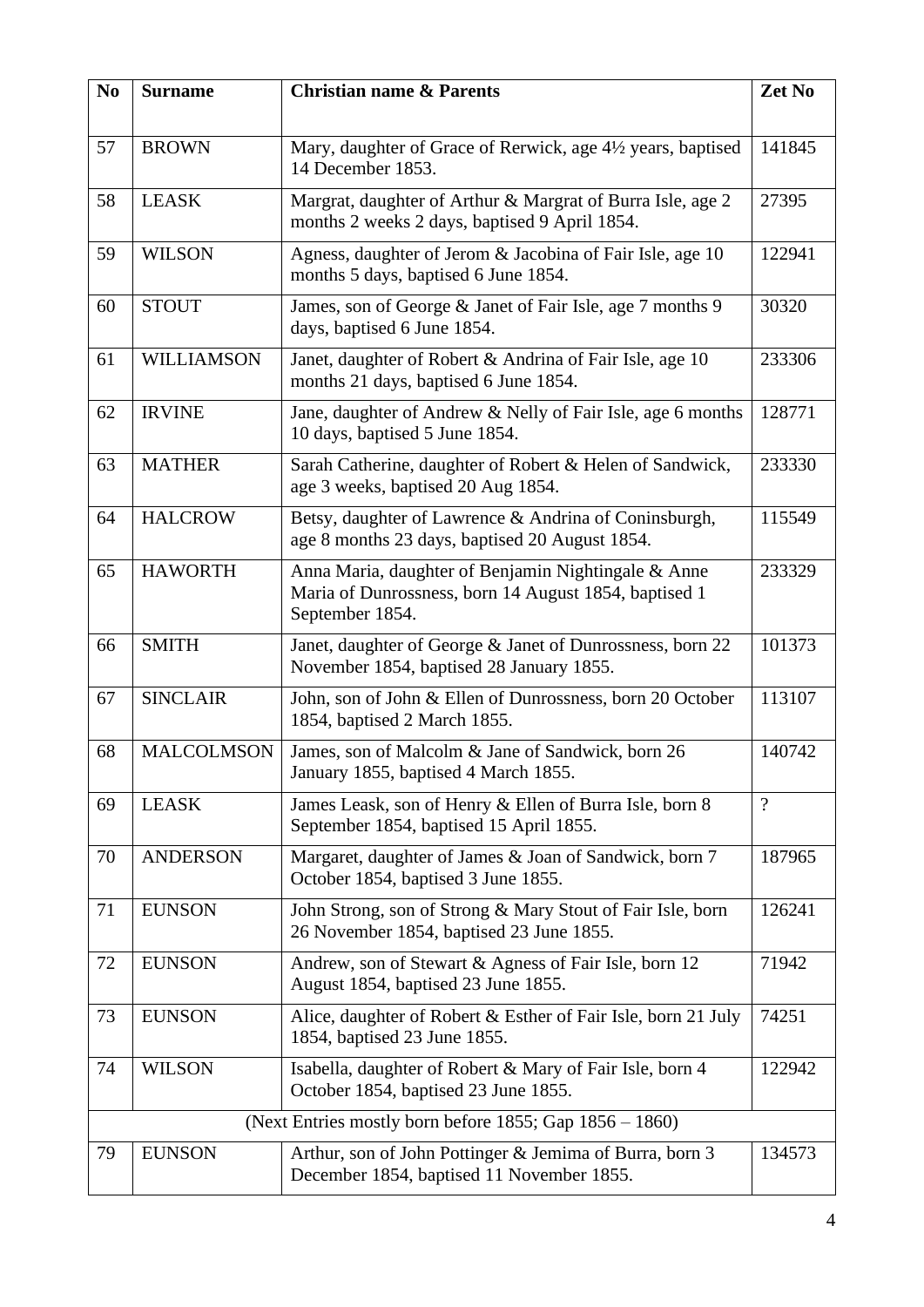| N <sub>0</sub> | <b>Surname</b>                                          | <b>Christian name &amp; Parents</b>                                                                                             |        |  |
|----------------|---------------------------------------------------------|---------------------------------------------------------------------------------------------------------------------------------|--------|--|
| 57             | <b>BROWN</b>                                            | Mary, daughter of Grace of Rerwick, age 41/2 years, baptised<br>14 December 1853.                                               |        |  |
| 58             | <b>LEASK</b>                                            | Margrat, daughter of Arthur & Margrat of Burra Isle, age 2<br>months 2 weeks 2 days, baptised 9 April 1854.                     |        |  |
| 59             | <b>WILSON</b>                                           | Agness, daughter of Jerom & Jacobina of Fair Isle, age 10<br>122941<br>months 5 days, baptised 6 June 1854.                     |        |  |
| 60             | <b>STOUT</b>                                            | James, son of George & Janet of Fair Isle, age 7 months 9<br>30320<br>days, baptised 6 June 1854.                               |        |  |
| 61             | WILLIAMSON                                              | Janet, daughter of Robert & Andrina of Fair Isle, age 10<br>months 21 days, baptised 6 June 1854.                               |        |  |
| 62             | <b>IRVINE</b>                                           | Jane, daughter of Andrew & Nelly of Fair Isle, age 6 months<br>10 days, baptised 5 June 1854.                                   |        |  |
| 63             | <b>MATHER</b>                                           | Sarah Catherine, daughter of Robert & Helen of Sandwick,<br>age 3 weeks, baptised 20 Aug 1854.                                  |        |  |
| 64             | <b>HALCROW</b>                                          | Betsy, daughter of Lawrence & Andrina of Coninsburgh,<br>age 8 months 23 days, baptised 20 August 1854.                         |        |  |
| 65             | <b>HAWORTH</b>                                          | Anna Maria, daughter of Benjamin Nightingale & Anne<br>Maria of Dunrossness, born 14 August 1854, baptised 1<br>September 1854. |        |  |
| 66             | <b>SMITH</b>                                            | Janet, daughter of George & Janet of Dunrossness, born 22<br>November 1854, baptised 28 January 1855.                           |        |  |
| 67             | <b>SINCLAIR</b>                                         | John, son of John & Ellen of Dunrossness, born 20 October<br>1854, baptised 2 March 1855.                                       |        |  |
| 68             | <b>MALCOLMSON</b>                                       | James, son of Malcolm & Jane of Sandwick, born 26<br>January 1855, baptised 4 March 1855.                                       |        |  |
| 69             | <b>LEASK</b>                                            | James Leask, son of Henry & Ellen of Burra Isle, born 8<br>September 1854, baptised 15 April 1855.                              |        |  |
| 70             | <b>ANDERSON</b>                                         | Margaret, daughter of James & Joan of Sandwick, born 7<br>October 1854, baptised 3 June 1855.                                   |        |  |
| 71             | <b>EUNSON</b>                                           | John Strong, son of Strong & Mary Stout of Fair Isle, born<br>26 November 1854, baptised 23 June 1855.                          |        |  |
| 72             | <b>EUNSON</b>                                           | Andrew, son of Stewart & Agness of Fair Isle, born 12<br>August 1854, baptised 23 June 1855.                                    |        |  |
| 73             | <b>EUNSON</b>                                           | Alice, daughter of Robert & Esther of Fair Isle, born 21 July<br>1854, baptised 23 June 1855.                                   |        |  |
| 74             | <b>WILSON</b>                                           | Isabella, daughter of Robert & Mary of Fair Isle, born 4<br>October 1854, baptised 23 June 1855.                                | 122942 |  |
|                | (Next Entries mostly born before 1855; Gap 1856 – 1860) |                                                                                                                                 |        |  |
| 79             | <b>EUNSON</b>                                           | Arthur, son of John Pottinger & Jemima of Burra, born 3<br>December 1854, baptised 11 November 1855.                            | 134573 |  |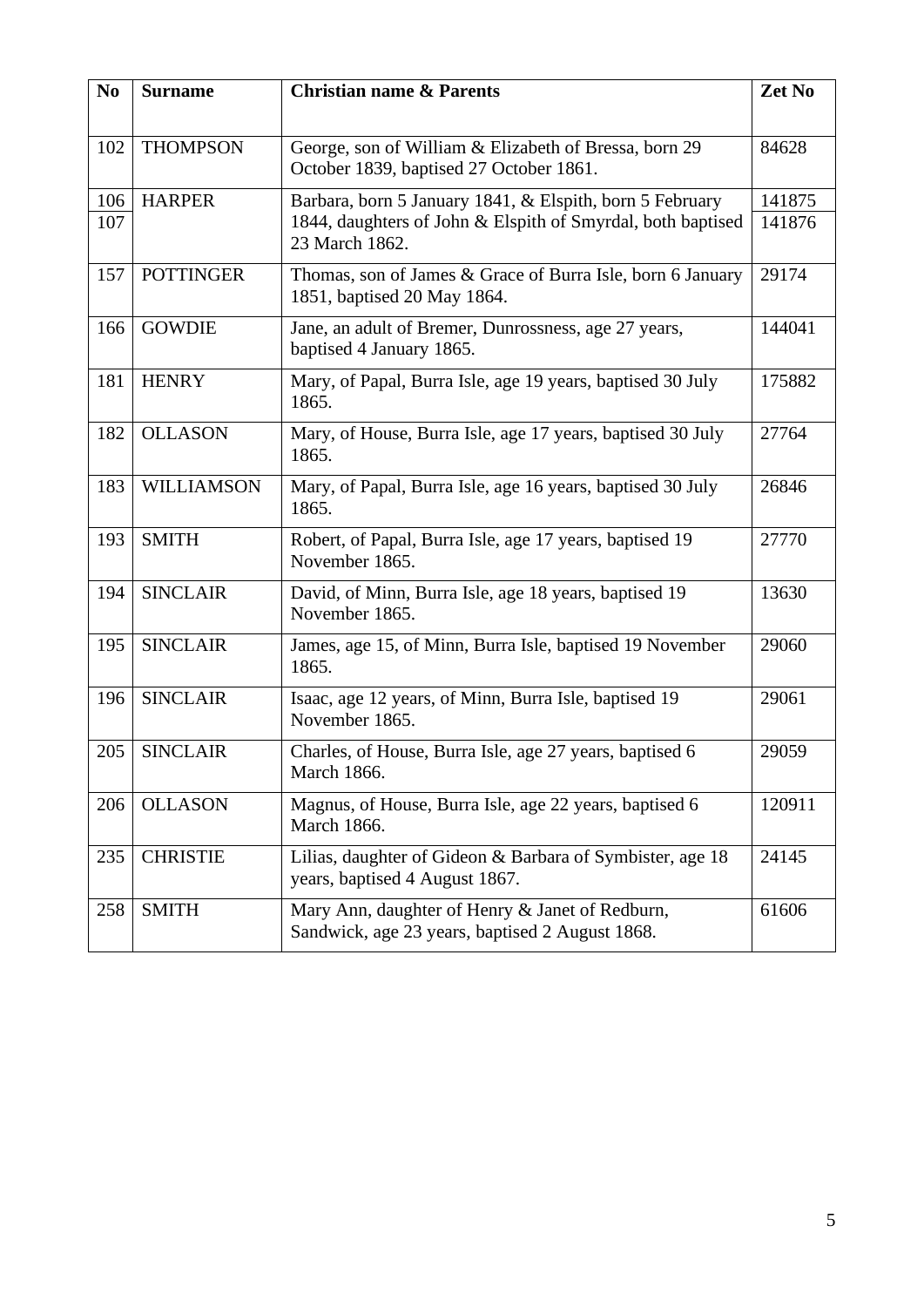| N <sub>0</sub> | <b>Surname</b>    | <b>Christian name &amp; Parents</b>                                                                                                       |                  |
|----------------|-------------------|-------------------------------------------------------------------------------------------------------------------------------------------|------------------|
| 102            | <b>THOMPSON</b>   | George, son of William & Elizabeth of Bressa, born 29<br>October 1839, baptised 27 October 1861.                                          |                  |
| 106<br>107     | <b>HARPER</b>     | Barbara, born 5 January 1841, & Elspith, born 5 February<br>1844, daughters of John & Elspith of Smyrdal, both baptised<br>23 March 1862. | 141875<br>141876 |
| 157            | <b>POTTINGER</b>  | Thomas, son of James & Grace of Burra Isle, born 6 January<br>1851, baptised 20 May 1864.                                                 |                  |
| 166            | <b>GOWDIE</b>     | Jane, an adult of Bremer, Dunrossness, age 27 years,<br>baptised 4 January 1865.                                                          |                  |
| 181            | <b>HENRY</b>      | Mary, of Papal, Burra Isle, age 19 years, baptised 30 July<br>1865.                                                                       |                  |
| 182            | <b>OLLASON</b>    | Mary, of House, Burra Isle, age 17 years, baptised 30 July<br>1865.                                                                       |                  |
| 183            | <b>WILLIAMSON</b> | Mary, of Papal, Burra Isle, age 16 years, baptised 30 July<br>1865.                                                                       |                  |
| 193            | <b>SMITH</b>      | Robert, of Papal, Burra Isle, age 17 years, baptised 19<br>November 1865.                                                                 |                  |
| 194            | <b>SINCLAIR</b>   | David, of Minn, Burra Isle, age 18 years, baptised 19<br>November 1865.                                                                   |                  |
| 195            | <b>SINCLAIR</b>   | James, age 15, of Minn, Burra Isle, baptised 19 November<br>1865.                                                                         |                  |
| 196            | <b>SINCLAIR</b>   | Isaac, age 12 years, of Minn, Burra Isle, baptised 19<br>November 1865.                                                                   |                  |
| 205            | <b>SINCLAIR</b>   | Charles, of House, Burra Isle, age 27 years, baptised 6<br>March 1866.                                                                    |                  |
| 206            | <b>OLLASON</b>    | Magnus, of House, Burra Isle, age 22 years, baptised 6<br>March 1866.                                                                     |                  |
| 235            | <b>CHRISTIE</b>   | Lilias, daughter of Gideon & Barbara of Symbister, age 18<br>years, baptised 4 August 1867.                                               |                  |
| 258            | <b>SMITH</b>      | Mary Ann, daughter of Henry & Janet of Redburn,<br>Sandwick, age 23 years, baptised 2 August 1868.                                        | 61606            |